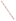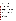## **AGENCY**: ENVIRONMENTAL PROTECTION AGENCY (EPA)

## **TITLE**: "WOODSTOVE CHANGEOUT PILOT STUDY"

**ACTION**: Request for Applications (RFA) – Initial Announcement

**RFIP NO**: OAR-ITPID-05-12

## **CATALOG OF FEDERAL DOMESTIC ASSISTANCE (CFDA) NO**: 66.034

**DATES**: The closing date for receipt of applications is May 30, 2005, 4PM EDT. Applications received via U.S. mail must be received in the Program Office by the closing date and time. No late proposals will be accepted.

To allow for efficient management of the competitive process, EPA requests submittal of an informal notice of "Intent to Apply" by April 30, 2005. Submission of an Intent to Apply is optional; it is a process management tool that will allow EPA to better anticipate the total staff time required for efficient review, evaluation, and selection of submitted proposals.

**SUMMARY**: This notice announces the availability of funds and solicits proposals from State, local, multi-state, tribal agencies and non-profit public or private organizations or institutions, for partnership projects to develop and implement a woodstove changeout program in the greater Pittsburgh area of southwest Pennsylvania, and Libby, Montana, targeted primarily at low income households.

**FUNDING/AWARDS**: The total estimated funding for this competitive opportunity is \$200,000. EPA anticipates award of one to two cooperative agreements resulting from this announcement, subject to the availability of funds and the quality of applications received, ranging in value from \$50,000 to \$200,000. Applicants may propose to implement a changeout program in only one or both locations.

## **CONTENTS BY SECTION**

- I. Funding Opportunity Description
- II. Award Information
- III. Eligibility Information
- IV. Application and Submission Information
- V. Application Review Information
- VI. Award Administration Information
- VII. Agency Contact
- VIII. Other Information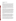#### **I. Funding Opportunity Description**

#### **A. Background.**

Currently, there are no Federal standards that require woodstove owners to replace their older woodstoves and mandatory programs would most likely be unpopular and involve high administrative costs. There are about 10 million woodstoves operating today in American households that are used as a primary or secondary source of heat. Of these, 80% - 90% are the older, higher polluting and less efficient conventional stoves that were manufactured prior to 1988 when EPA issued emission standards. After 1988, all new stoves produced in the U.S. had to meet these standards, but since any woodstove or insert can last as long as 40 years there are still millions of non-certified stoves in operation. "EPA Certified" stoves are much less polluting (70% fewer emissions) and are more energy efficient than older non-certified stoves, and many of the units made today surpass EPA's certified stove emissions limit and are especially clean. There are also other types of very clean burning hearth products available to consumers today such as gas stoves and pellet stoves.

Traditionally, woodstove changeout programs have been based on retailers providing rebate incentives to consumers to make the investment required to upgrade older, higher polluting stoves or fireplaces, with newer, cleaner-burning and more efficient technology. Due to the relatively high cost of a new stove (plus installation), rebate-based programs have had limited success. For example, in the Great Lakes region 1200 old stoves were replaced in 2001 and in the Puget Sound area of Washington state, 1600 stoves were replaced out of a total inventory of 270,000 uncertified stoves. Clearly, we should strive for better results and we believe providing more than a 10-15% rebate is the key. For low income families a \$1500-3000 appliance, even with a 10-15% rebate applied, is still a significant financial investment. These households often rely on wood burning as their primary source of heat because it can be relatively cheaper than electric or gas heat. Also, in many cases they've had their woodstove for many years and it is inefficient and highly polluting.

The purpose of this project is to demonstrate that a new model for conducting a woodstove changeout program for low income homeowners can be developed and can be more successful in removing uncertified woodstoves than a rebate-based model. The successful applicant will be capable of leveraging the grant dollars provided by EPA to purchase a large number of highly efficient low-emitting wood burning heating appliances for qualified applicants in the pilot communities. Other appliances such as gas or propane-fired heating units, or wood pellet stoves may also be purchased at the discretion of the recipient after considering costs and the availability of fuels.

The pilot communities were chosen based on a number of factors. Both pilot locations (Libby, Montana, and the greater Pittsburgh PA area) exceed the fine particulate matter  $(PM<sub>2.5</sub>)$  National Ambient Air Quality Standards (NAAQS). The Libby area was also chosen because it is a small, economically disadvantaged area which has essentially one source of fine particulate matter pollution, residential wood combustion (RWC). A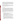rebate-based program would likely have little chance of success in Libby due to the relatively high cost of a new stove and professional installation in relation to the average household income in Libby. The other pilot area, greater Pittsburgh, is larger and has more varied sources of fine particles, but there are a number of uncertified woodstoves in this area, and many of these woodstoves are likely owned by low income families. It is important to assess the likelihood for success of a low income woodstove changeout program in more than one community type.

In addition to improving public health by reducing exposure to indoor and outdoor particle pollution and toxics, other benefits of switching from uncertified stoves include improved visibility in national parks and wilderness areas, and greater fire safety in the home from reduced creosote buildup in chimneys.

#### **B. Scope of Work.**

OAQPS is seeking applications for proposals that demonstrate the effectiveness of voluntary woodstove changeout programs targeted at low income households at two locations, the greater Pittsburgh PA area, and Libby, Montana. The applicants should propose to carry out a woodstove changeout program in one or both of these areas and using a combination of grant dollars and their own funds, or funds from other sources, provide free EPA-certified woodstoves or fireplace inserts (or other clean burning appliance such as a pellet stove or gas appliance) to qualified low income applicants who are willing to surrender their non-certified wood burning appliance (woodstove or fireplace insert). The recipient will ensure that the surrendered appliances are either sold or given away to steel recycling facilities, or are otherwise safely destroyed such that they cannot be used again.

At a minimum, the applicant's proposal should address the following components:

- The logistical approach for the changeout.
- The potential universe of qualified low income participants,
- Supporting documentation that each participant in the changeout meets an established low-income criteria necessary to qualify for the monetary assistance,
- Communications with qualified recipients, appliance retailers and installers, utility companies, city officials, etc.,
- A method to receive and document data from retailers confirming installation as well as confirmation that the dismantling and proper recycling of the old stove occurs,
- Administering the funds, and all other functions of the changeout,
- A summary report for each changeout location that includes at a minimum, final numbers of stoves replaced, type of new appliance installed (i.e., woodstove, fireplace insert, pellet stove, gas appliance, etc.) and an estimate of  $PM_{2.5}$ emissions from wood smoke before and after the changeout, and lessons learned.
- Any partnerships it will rely on to fund, in part or in full, the proposed changeout program(s).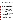As part of its technical support for the project, EPA will make education and outreach materials available to the recipient in designing and implementing a woodstove changeout program. These materials include:

**Potential partners fact sheet.** Target audience: Potential partners. A two page document that outlines the value of supporting woodstove changeout campaigns and describes how nonprofit organizations and others can take part in changeout campaigns.

**Changeout overview brochure.** Target audience: All consumers. A six to eight-panel brochure that walks people through the woodstove changeout basics.

**Benefits fact sheet.** Target audience: Low income people who will need a good deal of persuading. A two page document that illustrates the primary benefits (e.g., burn less wood, save money and time and reduce fire hazards) and funding options available to low income families and households.

**General fact sheet.** Target audience: General public. A two page document that provides the basics on the woodstove changeout.

## **C. EPA Strategic Plan Linkage and Anticipated Outcomes/Outputs.**

1. *Linkage to EPA Strategic Plan.* This project supports progress towards EPA Strategic Plan Goal 1(Clean Air and Global Climate Change),Objective 1.1 (Healthier Outdoor Air), Sub-Objectives 1.1.1 (More People Breathing Clean Air) and 1.1.2 (Reduced Risk from Toxic Air Pollutants), and Objective 1.2 (Healthier Indoor Air). In addition to improving public health by reducing exposure to indoor and outdoor particle pollution and toxics, other benefits of switching from uncertified stoves include improved visibility in national parks and wilderness areas, and greater fire safety in the home from reduced creosote buildup in chimneys.

2. *Outcomes.* Through this project EPA hopes to create public awareness of the health risks from breathing woodsmoke, demonstrate that changeout programs targeted at low income woodstove owners can be more successful than rebate-based changeout programs, and address air quality concerns in the targeted areas.

*3. Outputs.* The anticipated output for this project is a model changeout program for low income woodstove owners that can be used in other areas of the country.

## **D. Supplementary Information.**

The statutory authority for this action is Clean Air Act, Section 103(b) which authorizes the award of grants for research, investigations, experiments, demonstrations, surveys, and studies related to the causes, effect, extent, prevention and control of air pollution.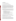## **II. Award Information**

## **A. What is the amount of funding available?**

The total estimated funding for this project is \$200,000.

## **B. How many agreements will EPA award in this competition?**

EPA anticipates award of one to two cooperative agreements ranging in value from \$50,000 to \$200,000 resulting from this announcement. The actual number of awards will be based upon the quality of proposals submitted and is subject to the availability of funds. Applicants may propose to implement a changeout program in only one or both locations. Applications evaluated but not selected for this funding may be retained for a period of six months for possible future award under this announcement, subject to the availability of additional funds. EPA reserves the right to partially fund a qualified proposal or to make no awards.

Cooperative agreements permit substantial involvement between the EPA Project Officer and the selected applicants in the performance of the work supported. Although EPA will negotiate precise terms and conditions relating to substantial involvement as part of the award process, the anticipated substantial Federal involvement for this project will be:

- 1. close monitoring of the successful applicant's performance to verify the results proposed by the applicant;
- 2. collaboration during performance of the scope of work;
- 3. approving substantive terms of proposed contracts;
- 4. approving qualifications of key personnel (EPA will not select employees or contractors employed by the award recipient);
- 5. review and comment on all reports prepared under the cooperative agreement (the final decision on the content of reports rests with the recipient);
- 6. reviewing a final summary study of the project.

## **C. What is the project period for award(s) resulting from this solicitation?**

The estimated project period for award(s) resulting from this solicitation is September 1, 2005 through September 1, 2007. All projects must be completed within the negotiated project performance period of 24 months.

## **D. Can funding be used to acquire services or fund partnerships?**

Funding may be used to acquire services or fund partnerships, provided the recipient follows procurement and subaward or subgrant procedures contained in 40 [CFR](http://www.gpoaccess.gov/cfr/retrieve.html) Parts 30 or 31, as applicable. Successful applicants must compete contracts for services and products and conduct cost and price analyses to the extent required by these regulations. The regulations also contain limitations on consultant compensation. Applicants are not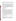required to identify contractors or consultants in their proposal. Moreover, the fact that a successful applicant has named a specific contractor or consultant in the proposal EPA approves does not relieve it of its obligations to comply with competitive procurement requirements.

Subgrants or subawards may be used to fund partnerships with non-profit organizations and governmental entities. Successful applicants cannot use subgrants or subawards to avoid requirements in EPA grant regulations for competitive procurement by using these instruments to acquire commercial services or products to carry out its cooperative agreement. For profit organizations are not eligible subgrant recipients under this announcement. The nature of the transaction between the recipient and the subgrantee must be consistent with the standards for distinguishing between vendor transactions and subrecipient assistance under Subpart B Section 210 of [OMB Circular A-133,](http://www.whitehouse.gov/omb/circulars/a133/a133.html) and the definitions of "subaward" at 40 CFR 30.2(ff) or "subgrant" at 40 CFR 31.3, as applicable. EPA will not be a party to these transactions.

#### **III. Eligibility Information**

#### **A. Eligible Entities.**

Proposals will be accepted from states, territories, Indian Tribes, and possessions of the U.S., including the District of Columbia, international organizations, public and private universities and colleges, hospitals, laboratories, other public or private nonprofit institutions, as defined b[y OMB Circular A-110](http://www.whitehouse.gov/omb/circulars/a110/a110.html) and [OMB Circular A-122.](http://www.whitehouse.gov/omb/circulars/a122/a122.html)  Non-profit organization, as defined by OMB Circular A-122, means any corporation, trust, association, cooperative, or other organization which: (1) is operated primarily for scientific, educational, service, charitable, or similar purposes in the public interest; (2) is not organized primarily for profit; and (3) uses its net proceeds to maintain, improve, and/or expand its operations. For this purpose, the term "non-profit organization" excludes (i) colleges and universities; (ii) hospitals; (iii) state, local, and federally-recognized Indian tribal governments; and (iv) those non-profit organizations which are excluded from coverage of this Circular in accordance with paragraph 5 of the Circular.

Non-profit organizations described in Section  $501(c)(4)$  of the Internal Revenue Code that engage in lobbying activities as defined in Section 3 of the Lobbying Disclosure Act of 1995 are not eligible to apply.

#### **B. Cost Sharing or Matching.**

Although cost-sharing or matching is not required, as a condition of eligibility, or otherwise, for proposals selected for award, applicants proposing a voluntary financial or in-kind commitment of resources will improve their scoring under the "Ability to Leverage Resources" evaluation criterion of this solicitation. *(Refer to Section V(A), Evaluation Criteria.)*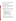Voluntary contributions of funds and/or in kind contributions of resources, if accepted by EPA, will be treated as cost shares under 40 CFR 30.24. Applicants must propose eligible and allowable in kind contributions of resources to qualify for an improved score.

#### **Section IV - Application and Submission Information.**

#### **A. How to Obtain Application Package.**

Applicants may download individual grant application forms, or electronically request a paper application package and an accompanying computer CD of information related to applicants/grant recipients roles and responsibilities from EPA's Grants and Debarment website by visiting[: http://www.epa.gov/ogd/grants/how\\_to\\_apply.htm.](http://www.epa.gov/ogd/grants/how_to_apply.htm)

## **B. Content and Form of Proposal Submission.**

Applications must contain a narrative proposal, and one completed and signed federal grant application package. The narrative proposal must explicitly describe the applicant's proposed project and specifically address each of the evaluation criteria disclosed in *Section V(A), Evaluation Criteria*.

1. A complete application must contain the following, in the sequential order shown:

- a. SF-424 Application for Federal Assistance, with original signature.
- b. Narrative Statement, in the format detailed below.
- c. Other supporting documentation.
- d. SF-424 A, Budget by categories and indirect cost rate.
- e. SF-424 B, Assurances for non-construction programs.
- f. Certification Regarding Lobbying and SF LLL, if applicable.
- g. EPA Form 4700-4 Preaward Compliance review report.
- h. Quality Assurance Narrative Statement, if applicable.
- i. Copy of Negotiated Indirect Cost Rate Agreement, if applicable.
- j. Biographical Sketch.

k. E-mail address or self-addressed envelope (to receive notification of receipt of application).

2. The narrative proposal should conform to the following outline:

a. Cover Letter: Describe your organization's qualifications for the project and provide information relating to your programmatic capability to perform the project. The cover letter must be signed by an official with the authority to commit your organization to the project; and written on your organization's official letterhead.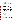- b. Summary Information Page.
	- 1. Project Title.
	- 2. Applicant Information. Include applicant (organization) name, address, contact person, phone number, fax and e-mail address.
	- 3. Funding Requested. Specify the amount you are requesting from EPA.
- c. Project Description. The project description must provide a concise overview of how the applicant will implement and conduct the project and include a Project Work Plan (including a description of all tasks, dates of completion, products and deliverables, and proposed budget).

 The narrative workplan must discuss how the proposal addresses each of the selection criteria in Section V and include:

- 1. A detailed project summary, describing specific actions and methods to be undertaken and the responsible institutions, including estimated time line for each task;
- 2. The associated work products to be developed (e.g. partnership agreements, if any);
- 3. An explanation of project benefits to the public;
- 4. An explanation of how project outcomes (e.g., fuel economy and emissions benefits) will be designed for reinvestment;
- 5. A detailed explanation of how project success will be evaluated; *(Refer to Section V(A), Evaluation Criteria, "EPA Strategic Plan Linkage and Anticipated Outcomes/Outputs.")*
- 6. A description of the roles of the applicant and partners, if any; and
- 7. Biographical information on key personnel identified.
- d. Detailed Itemized Budget. The proposal must include a detailed budget which clearly explains how funds will be used for the following categories:
	- 1. Personnel
	- 2. Fringe Benefits
	- 3. Contractual Costs
	- 4. Travel
	- 5. Equipment
	- 6. Supplies
	- 7. Other (including intern stipends)
	- 8. Total Indirect Costs (must include documentation of accepted indirect rate)
	- 9. Total Cost

If not self-evident, entries under each category must be explained in the budget itself or in the project description. Costs proposed in the budget should be linked directly to the proposal.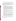e. Key Personnel. The applicant should submit an appendix with the resumes of up to three (3) key personnel who will be significantly involved in the project.

Applicants are strongly advised to avoid submission of non-essential materials unrelated to the proposal's requirements. Upon receipt, applications will be reviewed for content. Applications which do not conform to the specific outline and content detailed above may not be considered for award. **Incomplete applications will not be considered for award.** All application materials must be completed in English.

### **C. Submission Dates and Times.**

- 1. To allow for efficient management of the competitive process, EPA requests eligible entities submit an informal notice of "Intent to Apply" by April 30, 2005, to the agency contact identified under *Section VII, Agency Contact.*  Submission of an Intent to Apply is optional; it is a process management tool that will allow EPA to better anticipate the total staff time required for efficient review, evaluation, and selection of submitted proposals. Eligible entities not submitting an "Intent to Apply" are still eligible to apply by the deadline. The written notice of "Intent to Apply" may be submitted via electronic mail. Please provide the name of your organization, a point of contact, phone number, email address, and the title of your project.
- 2. The deadline for submission of completed application packages is May 30, 2005, 4 p.m. ET. All proposal packages must be received in the program office listed below by the deadline. Proposals received after the deadline will not be considered for funding.
- 3. Electronic Proposals must be submitted in Microsoft Word, or Adobe pdf format to: blais.gary@epa.gov. Proposals will be considered timely upon receipt, not transmission. An e-mail response confirming receipt of electronic proposals will be provided.
- 4. Confidential Business Information. In accordance with 40 CFR 2.203, applicants may claim all or a portion of their application/proposal as confidential business information. EPA will evaluate confidentiality claims in accordance with 40 CFR Part 2. Applicants must clearly mark applications/proposals or portions of applications/proposals they claim as confidential. If no claim of confidentiality is made, EPA is not required to make the inquiry to the applicant otherwise required by 40 CFR  $2.204(c)(2)$  prior to disclosure.

Because of U.S. mail screening at all federal facilities EPA highly recommends that applicants use express mail to submit their proposals. Initial Proposals and Final Applications should be addressed to: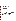#### Express Delivery Address (FedEx, UPS, DHL, etc.)

US EPA Attn: Gary Blais Office of Air Quality Planning and Standards 4930 Old Page Road Durham, NC 27703

Regular Mail Delivery

 US EPA Attn: Gary Blais Office of Air Quality Planning and Standards MD- E143-02 RTP, NC 27711

### **V. Application Review Information**

#### **A. Evaluation Criteria.**

Each eligible proposal, based on Section III, Eligibility Information, will be evaluated according to the criteria set forth below. Proposals that are best able to directly and explicitly address the evaluation criteria below will have a greater likelihood of being selected for award. Each proposal will be rated under a points system, with a total of 100 points possible.

| <b>CRITERION</b>                                                                                                                                                                                                                                                                                                                                                                                                                            | <b>MAXIMUM POINTS</b><br><b>PER CRITERION</b> |
|---------------------------------------------------------------------------------------------------------------------------------------------------------------------------------------------------------------------------------------------------------------------------------------------------------------------------------------------------------------------------------------------------------------------------------------------|-----------------------------------------------|
| <b>Ability to Leverage Resources:</b> Describe your ability to leverage the<br>financial resources necessary to implement a viable woodstove changeout<br>project at the proposed locations. If you leverage resources, outline your<br>plan or process for obtaining the additional resources, the timing,<br>commitments, and the likelihood of success. If possible, provide written<br>resource commitments from proposed partnerships. | 25                                            |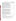| <b>CRITERION</b>                                                                | <b>MAXIMUM POINTS</b> |
|---------------------------------------------------------------------------------|-----------------------|
|                                                                                 | PER CRITERION         |
| Management/Implementation Plan: Describe, in detail, the plan for               | 25                    |
| implementing the project including a timeline for each phase of the project.    |                       |
| Indicate how you will acquire and install the equipment and include a list      |                       |
| of potential partners. Describe the entities you will work with in              |                       |
| implementing the proposal's objectives, including roles and                     |                       |
| responsibilities. Describe your goals for the project in terms of numbers of    |                       |
| uncertified woodstoves replaced, and the amount of air pollution                |                       |
| reductions expected in terms of fine particulate matter and toxics. The         |                       |
| most successful applicants will be those that can demonstrate that their        |                       |
| plan will result in the replacement of the greatest number of uncertified       |                       |
| woodstoves at each location, and that their plan is replicable in other         |                       |
| communities.                                                                    |                       |
| <b>EPA Strategic Plan Linkage and Anticipated Outcomes/Outputs:</b>             | 25                    |
| Effectiveness of applicant's plan for tracking and measuring progress           |                       |
| toward achieving expected outputs and outcomes identified in Section I of       |                       |
| this announcement.                                                              |                       |
|                                                                                 |                       |
|                                                                                 |                       |
| Technical Experience and Programmatic Capability: Describe your                 | 25                    |
| technical experience with woodstoves, particulate matter issues, and any        |                       |
| experience with changeouts, in working with partners, leading and               |                       |
| managing groups, and implementing emission reduction projects education         |                       |
| and community outreach, social marketing, advertising and public                |                       |
| relations, or any other related efforts.relevant to the success of carrying out |                       |
| this project. EPA will also take into account such factors as the               |                       |
| applicant's:                                                                    |                       |
| (i) past performance in successfully completing federally and/or non-           |                       |
| federally funded projects similar in size, scope, and relevance to the          |                       |
| proposed project, (ii) history of meeting reporting requirements on prior or    |                       |
| current assistance agreements with federal and/or non-federal                   |                       |
| organizations and submitting acceptable final technical reports, (iii)          |                       |
| organizational experience and plan for timely and successfully achieving        |                       |
| the objectives of the project, and (iv) staff expertise/qualifications, staff   |                       |
| knowledge, and resources or the ability to obtain them, to successfully         |                       |
| achieve the goals of the project.                                               |                       |
|                                                                                 |                       |

### **B. Review and Selection Process.**

Each application will be evaluated by a team chosen to address a full range of air quality matters. The Evaluation Team will base its evaluation solely on the selection criteria disclosed in this notice. *(Refer to Section V(A), Evaluation Criteria)* 

The highest numerically-ranked proposal(s) (subject to the quality of proposals and availability of funds will be selected for award by the Selection Official.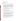## **VI. Award Administration Information**

### **A. Award Notices.**

Following final selections, all applicants will be notified regarding their application's status.

- 1. EPA anticipates notification to *successful* applicant(s) will be made via telephone, electronic or postal mail by July 30, 2005. This notification, which advises that the applicant's proposal has been selected and is being recommended for award, is not an authorization to begin performance. The award notice signed by the EPA grants officer is the authorizing document and will be provided through postal mail. At a minimum, this process can take up to 90 days from the date of selection. For planning purposes, the successful applicant(s) should expect to begin work by September 1, 2005.
- 2. EPA anticipates notification to *unsuccessful* applicant(s) will be made via electronic or postal mail by July 30, 2005. In either event, the notification will be sent to the original signer of the application.

### **B. Administrative and National Policy Requirements.**

- 1. A listing and description of general EPA Regulations applicable to the award of assistance agreements may be viewed at: [http://www.epa.gov/ogd/AppKit/applicable\\_epa\\_regulations\\_and\\_description.htm](http://www.epa.gov/ogd/AppKit/applicable_epa_regulations_and_description.htm)
- 2. Executive Order 12372, Intergovernmental Review of Federal Programs may be applicable to awards, resulting from this announcement. Applicants *selected* for funding may be required to provide a copy of their proposal to their [State Point of](http://www.whitehouse.gov/omb/grants/spoc.html)  [Contact](http://www.whitehouse.gov/omb/grants/spoc.html) (SPOC) for review, pursuant to Executive Order 12372, Intergovernmental Review of Federal Programs. This review is not required with the Initial Proposal and not all states require such a review.
- 3. All applicants are required to provide a Dun and Bradstreet (D&B) Data Universal Numbering System (DUNS) number when applying for a Federal grant or cooperative agreement. Applicants can receive a DUNS number, at no cost, by calling the dedicated toll-free DUNS Number request line at 1-866-705-5711, or visiting the D&B website at[: http://www.dnb.com.](http://www.dnb.com)
- 4. Non-profit organizations recommended for funding will be subject to a pre-award administrative capability assessment.

.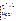### **C. Reporting Requirement.**

The recipient agrees to submit quarterly progress reports to the EPA Project Officer within thirty days after each reporting period. These reports shall cover work status, work progress, difficulties encountered, preliminary data results and a statement of activity anticipated during the subsequent reporting period, including a description of equipment, techniques, and materials to be used or evaluated. A discussion of expenditures along with a comparison of the percentage of the project completed to the project schedule and an explanation of significant discrepancies shall be included in the report. The report shall also include any changes of key personnel concerned with the project. The schedule for submission of quarterly reports will be established, by EPA, after award.

A detailed final report will also be required. The final report should include: summary of the project, air quality concentrations prior to the changeout, reductions of woodstove emissions after the project and any detectable affect on air quality concentrations, environmental outcomes, problems, successes, and lessons learned. The report should also include the recipient's recommendations for replicating the changeout program in other areas of the country.

## **D. Disputes.**

Assistance agreement competition-related disputes will be resolved in accordance with the dispute resolution procedures published in 70 FR (Federal Register) 3629, 3630 (January 26, 2005) located on the web at:

[http://a257.g.akamaitech.net/7/257/2422/01jan20051800/edocket.access.gpo.gov/2005/05](http://a257.g.akamaitech.net/7/257/2422/01jan20051800/edocket.access.gpo.gov/2005/05-1371.htm) [-1371.htm.](http://a257.g.akamaitech.net/7/257/2422/01jan20051800/edocket.access.gpo.gov/2005/05-1371.htm) Copies of these procedures may also be requested by contacting the Agency contact identified in Section VII of this solicitation.

# **VII. Agency Contact**

**FOR FURTHER INFORMATION CONTACT:** for application questions contact Gary Blais, US EPA Office of Air Quality Planning and Standards, MC E143-02, RTP, NC 27711, Phone 919-541-3223, Fax 919-541-2664; (e-mail: WoodstoveRFA@epa.gov) for questions about woodstove changeouts and EPA's woodsmoke reduction initiative: Larry Brockman, US EPA Office of Air Quality Planning and Standards, MC E143-02, RTP, NC 27711, Phone 919-541-5398, Fax 919-541-2664; (e-mail: brockman.larry@epa.gov); or Karen Blanchard US EPA Office of Air Quality Planning and Standards, MC E143-02, RTP, NC 27711, Phone 919-541- 5503, Fax 919-541-2664; (e-mail: blanchard.karen@epa.gov).

All questions must be submitted in writing via postal mail, facsimile, or electronic mail to the contact persons listed above, and must be received not later than 10 days prior to the closing date of the announcement of this solicitation. Answers will be posted, bi-weekly, until the closing date for this announcement on OAR's Grants/Funding website [\(http://www.epa.gov/air/grants\\_funding.html\)](http://www.epa.gov/air/grants_funding.html).